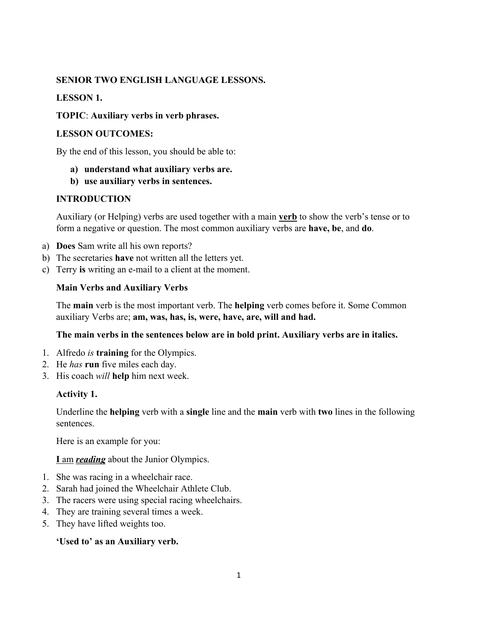### **SENIOR TWO ENGLISH LANGUAGE LESSONS.**

### **LESSON 1.**

### **TOPIC**: **Auxiliary verbs in verb phrases.**

#### **LESSON OUTCOMES:**

By the end of this lesson, you should be able to:

- **a) understand what auxiliary verbs are.**
- **b) use auxiliary verbs in sentences.**

### **INTRODUCTION**

Auxiliary (or Helping) verbs are used together with a main **[verb](http://www.gingersoftware.com/content/grammar-rules/verbs/)** to show the verb's tense or to form a negative or question. The most common auxiliary verbs are **have, be**, and **do**.

- a) **Does** Sam write all his own reports?
- b) The secretaries **have** not written all the letters yet.
- c) Terry **is** writing an e-mail to a client at the moment.

### **Main Verbs and Auxiliary Verbs**

The **main** verb is the most important verb. The **helping** verb comes before it. Some Common auxiliary Verbs are; **am, was, has, is, were, have, are, will and had.** 

### **The main verbs in the sentences below are in bold print. Auxiliary verbs are in italics.**

- 1. Alfredo *is* **training** for the Olympics.
- 2. He *has* **run** five miles each day.
- 3. His coach *will* **help** him next week.

### **Activity 1.**

Underline the **helping** verb with a **single** line and the **main** verb with **two** lines in the following sentences.

Here is an example for you:

### **I** am *reading* about the Junior Olympics.

- 1. She was racing in a wheelchair race.
- 2. Sarah had joined the Wheelchair Athlete Club.
- 3. The racers were using special racing wheelchairs.
- 4. They are training several times a week.
- 5. They have lifted weights too.

### **'Used to' as an Auxiliary verb.**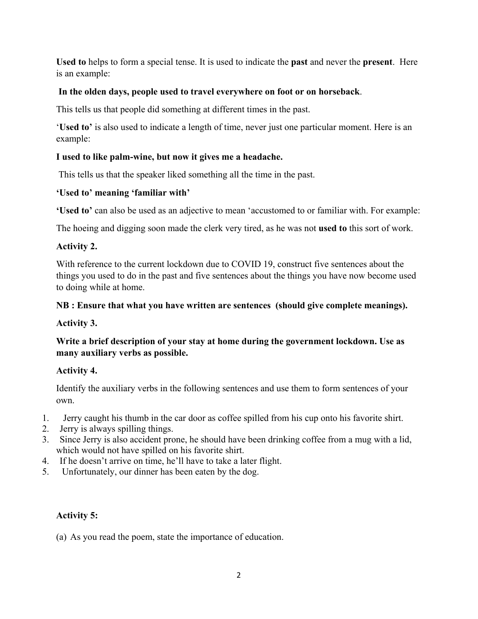**Used to** helps to form a special tense. It is used to indicate the **past** and never the **present**. Here is an example:

## **In the olden days, people used to travel everywhere on foot or on horseback**.

This tells us that people did something at different times in the past.

'**Used to'** is also used to indicate a length of time, never just one particular moment. Here is an example:

## **I used to like palm-wine, but now it gives me a headache.**

This tells us that the speaker liked something all the time in the past.

## **'Used to' meaning 'familiar with'**

**'Used to'** can also be used as an adjective to mean 'accustomed to or familiar with. For example:

The hoeing and digging soon made the clerk very tired, as he was not **used to** this sort of work.

## **Activity 2.**

With reference to the current lockdown due to COVID 19, construct five sentences about the things you used to do in the past and five sentences about the things you have now become used to doing while at home.

## **NB : Ensure that what you have written are sentences (should give complete meanings).**

# **Activity 3.**

**Write a brief description of your stay at home during the government lockdown. Use as many auxiliary verbs as possible.** 

# **Activity 4.**

Identify the auxiliary verbs in the following sentences and use them to form sentences of your own.

- 1. Jerry caught his thumb in the car door as coffee spilled from his cup onto his favorite shirt.
- 2. Jerry is always spilling things.
- 3. Since Jerry is also accident prone, he should have been drinking coffee from a mug with a lid, which would not have spilled on his favorite shirt.
- 4. If he doesn't arrive on time, he'll have to take a later flight.
- 5. Unfortunately, our dinner has been eaten by the dog.

# **Activity 5:**

(a) As you read the poem, state the importance of education.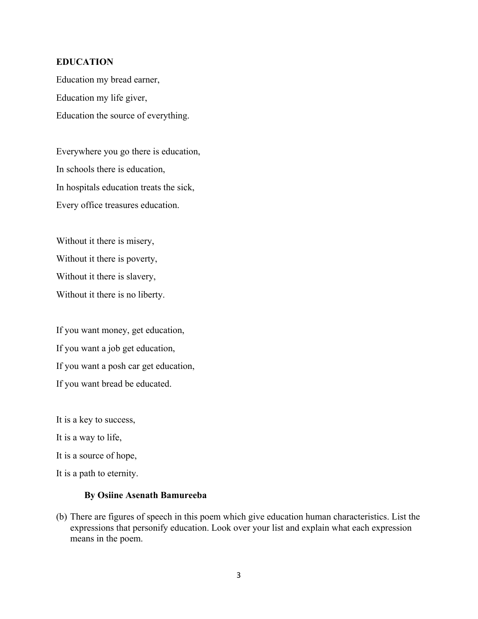### **EDUCATION**

Education my bread earner, Education my life giver, Education the source of everything.

Everywhere you go there is education, In schools there is education, In hospitals education treats the sick, Every office treasures education.

Without it there is misery, Without it there is poverty, Without it there is slavery, Without it there is no liberty.

If you want money, get education, If you want a job get education, If you want a posh car get education, If you want bread be educated.

It is a key to success,

It is a way to life,

It is a source of hope,

It is a path to eternity.

#### **By Osiine Asenath Bamureeba**

(b) There are figures of speech in this poem which give education human characteristics. List the expressions that personify education. Look over your list and explain what each expression means in the poem.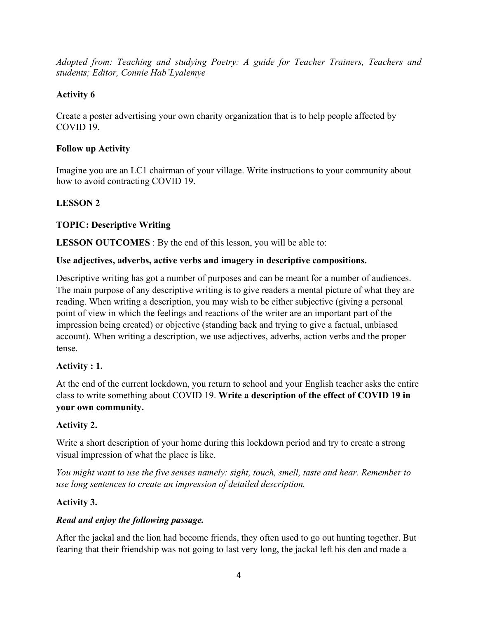*Adopted from: Teaching and studying Poetry: A guide for Teacher Trainers, Teachers and students; Editor, Connie Hab'Lyalemye*

# **Activity 6**

Create a poster advertising your own charity organization that is to help people affected by COVID 19.

# **Follow up Activity**

Imagine you are an LC1 chairman of your village. Write instructions to your community about how to avoid contracting COVID 19.

# **LESSON 2**

# **TOPIC: Descriptive Writing**

**LESSON OUTCOMES** : By the end of this lesson, you will be able to:

# **Use adjectives, adverbs, active verbs and imagery in descriptive compositions.**

Descriptive writing has got a number of purposes and can be meant for a number of audiences. The main purpose of any descriptive writing is to give readers a mental picture of what they are reading. When writing a description, you may wish to be either subjective (giving a personal point of view in which the feelings and reactions of the writer are an important part of the impression being created) or objective (standing back and trying to give a factual, unbiased account). When writing a description, we use adjectives, adverbs, action verbs and the proper tense.

# **Activity : 1.**

At the end of the current lockdown, you return to school and your English teacher asks the entire class to write something about COVID 19. **Write a description of the effect of COVID 19 in your own community.**

# **Activity 2.**

Write a short description of your home during this lockdown period and try to create a strong visual impression of what the place is like.

*You might want to use the five senses namely: sight, touch, smell, taste and hear. Remember to use long sentences to create an impression of detailed description.* 

# **Activity 3.**

# *Read and enjoy the following passage.*

After the jackal and the lion had become friends, they often used to go out hunting together. But fearing that their friendship was not going to last very long, the jackal left his den and made a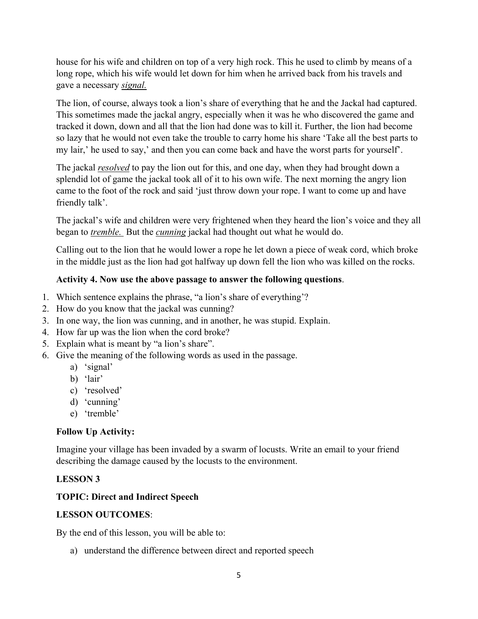house for his wife and children on top of a very high rock. This he used to climb by means of a long rope, which his wife would let down for him when he arrived back from his travels and gave a necessary *signal.*

The lion, of course, always took a lion's share of everything that he and the Jackal had captured. This sometimes made the jackal angry, especially when it was he who discovered the game and tracked it down, down and all that the lion had done was to kill it. Further, the lion had become so lazy that he would not even take the trouble to carry home his share 'Take all the best parts to my lair,' he used to say,' and then you can come back and have the worst parts for yourself'.

The jackal *resolved* to pay the lion out for this, and one day, when they had brought down a splendid lot of game the jackal took all of it to his own wife. The next morning the angry lion came to the foot of the rock and said 'just throw down your rope. I want to come up and have friendly talk'.

The jackal's wife and children were very frightened when they heard the lion's voice and they all began to *tremble.* But the *cunning* jackal had thought out what he would do.

Calling out to the lion that he would lower a rope he let down a piece of weak cord, which broke in the middle just as the lion had got halfway up down fell the lion who was killed on the rocks.

## **Activity 4. Now use the above passage to answer the following questions**.

- 1. Which sentence explains the phrase, "a lion's share of everything'?
- 2. How do you know that the jackal was cunning?
- 3. In one way, the lion was cunning, and in another, he was stupid. Explain.
- 4. How far up was the lion when the cord broke?
- 5. Explain what is meant by "a lion's share".
- 6. Give the meaning of the following words as used in the passage.
	- a) 'signal'
	- b) 'lair'
	- c) 'resolved'
	- d) 'cunning'
	- e) 'tremble'

### **Follow Up Activity:**

Imagine your village has been invaded by a swarm of locusts. Write an email to your friend describing the damage caused by the locusts to the environment.

### **LESSON 3**

### **TOPIC: Direct and Indirect Speech**

### **LESSON OUTCOMES**:

By the end of this lesson, you will be able to:

a) understand the difference between direct and reported speech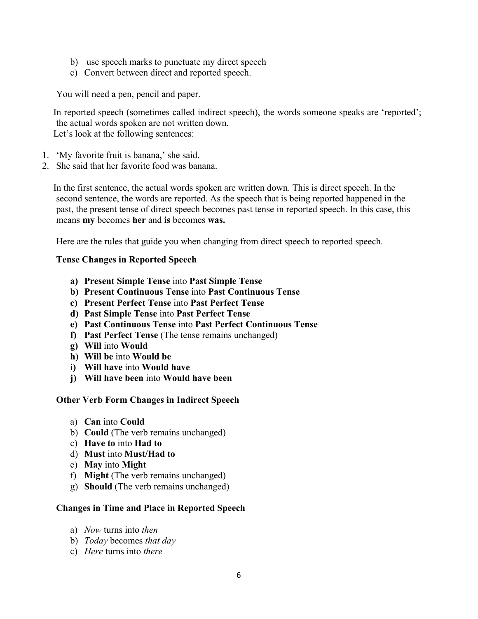- b) use speech marks to punctuate my direct speech
- c) Convert between direct and reported speech.

You will need a pen, pencil and paper.

In reported speech (sometimes called indirect speech), the words someone speaks are 'reported'; the actual words spoken are not written down. Let's look at the following sentences:

- 1. 'My favorite fruit is banana,' she said.
- 2. She said that her favorite food was banana.

 In the first sentence, the actual words spoken are written down. This is direct speech. In the second sentence, the words are reported. As the speech that is being reported happened in the past, the present tense of direct speech becomes past tense in reported speech. In this case, this means **my** becomes **her** and **is** becomes **was.**

Here are the rules that guide you when changing from direct speech to reported speech.

#### **Tense Changes in Reported Speech**

- **a) Present Simple Tense** into **Past Simple Tense**
- **b) Present Continuous Tense** into **Past Continuous Tense**
- **c) Present Perfect Tense** into **Past Perfect Tense**
- **d) Past Simple Tense** into **Past Perfect Tense**
- **e) Past Continuous Tense** into **Past Perfect Continuous Tense**
- **f) Past Perfect Tense** (The tense remains unchanged)
- **g) Will** into **Would**
- **h) Will be** into **Would be**
- **i) Will have** into **Would have**
- **j) Will have been** into **Would have been**

#### **Other Verb Form Changes in Indirect Speech**

- a) **Can** into **Could**
- b) **Could** (The verb remains unchanged)
- c) **Have to** into **Had to**
- d) **Must** into **Must/Had to**
- e) **May** into **Might**
- f) **Might** (The verb remains unchanged)
- g) **Should** (The verb remains unchanged)

#### **Changes in Time and Place in Reported Speech**

- a) *Now* turns into *then*
- b) *Today* becomes *that day*
- c) *Here* turns into *there*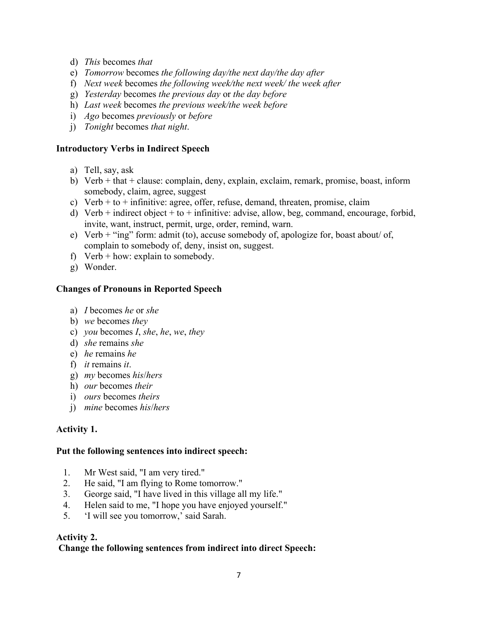- d) *This* becomes *that*
- e) *Tomorrow* becomes *the following day/the next day/the day after*
- f) *Next week* becomes *the following week/the next week/ the week after*
- g) *Yesterday* becomes *the previous day* or *the day before*
- h) *Last week* becomes *the previous week/the week before*
- i) *Ago* becomes *previously* or *before*
- j) *Tonight* becomes *that night*.

### **Introductory Verbs in Indirect Speech**

- a) Tell, say, ask
- b) Verb + that + clause: complain, deny, explain, exclaim, remark, promise, boast, inform somebody, claim, agree, suggest
- c) Verb  $+$  to  $+$  infinitive: agree, offer, refuse, demand, threaten, promise, claim
- d) Verb + indirect object + to + infinitive: advise, allow, beg, command, encourage, forbid, invite, want, instruct, permit, urge, order, remind, warn.
- e) Verb + "ing" form: admit (to), accuse somebody of, apologize for, boast about/ of, complain to somebody of, deny, insist on, suggest.
- f) Verb  $+$  how: explain to somebody.
- g) Wonder.

### **Changes of Pronouns in Reported Speech**

- a) *I* becomes *he* or *she*
- b) *we* becomes *they*
- c) *you* becomes *I*, *she*, *he*, *we*, *they*
- d) *she* remains *she*
- e) *he* remains *he*
- f) *it* remains *it*.
- g) *my* becomes *his*/*hers*
- h) *our* becomes *their*
- i) *ours* becomes *theirs*
- j) *mine* becomes *his*/*hers*

### **Activity 1.**

#### **Put the following sentences into indirect speech:**

- 1. Mr West said, "I am very tired."
- 2. He said, "I am flying to Rome tomorrow."
- 3. George said, "I have lived in this village all my life."
- 4. Helen said to me, "I hope you have enjoyed yourself."
- 5. 'I will see you tomorrow,' said Sarah.

### **Activity 2.**

### **Change the following sentences from indirect into direct Speech:**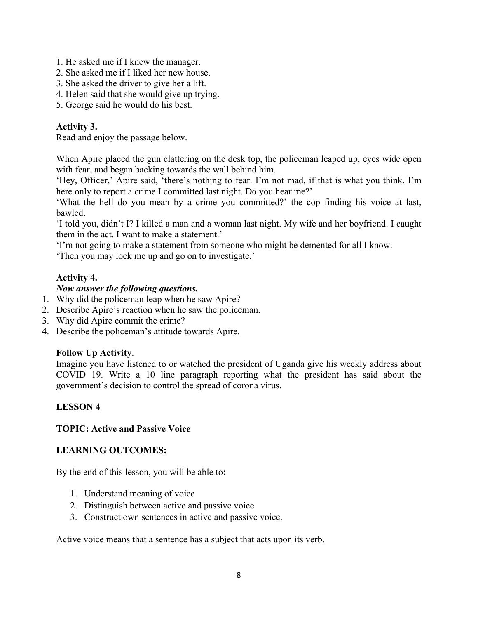- 1. He asked me if I knew the manager.
- 2. She asked me if I liked her new house.
- 3. She asked the driver to give her a lift.
- 4. Helen said that she would give up trying.
- 5. George said he would do his best.

## **Activity 3.**

Read and enjoy the passage below.

When Apire placed the gun clattering on the desk top, the policeman leaped up, eyes wide open with fear, and began backing towards the wall behind him.

'Hey, Officer,' Apire said, 'there's nothing to fear. I'm not mad, if that is what you think, I'm here only to report a crime I committed last night. Do you hear me?'

'What the hell do you mean by a crime you committed?' the cop finding his voice at last, bawled.

'I told you, didn't I? I killed a man and a woman last night. My wife and her boyfriend. I caught them in the act. I want to make a statement.'

'I'm not going to make a statement from someone who might be demented for all I know.

'Then you may lock me up and go on to investigate.'

## **Activity 4.**

### *Now answer the following questions.*

- 1. Why did the policeman leap when he saw Apire?
- 2. Describe Apire's reaction when he saw the policeman.
- 3. Why did Apire commit the crime?
- 4. Describe the policeman's attitude towards Apire.

### **Follow Up Activity**.

Imagine you have listened to or watched the president of Uganda give his weekly address about COVID 19. Write a 10 line paragraph reporting what the president has said about the government's decision to control the spread of corona virus.

### **LESSON 4**

#### **TOPIC: Active and Passive Voice**

#### **LEARNING OUTCOMES:**

By the end of this lesson, you will be able to**:** 

- 1. Understand meaning of voice
- 2. Distinguish between active and passive voice
- 3. Construct own sentences in active and passive voice.

Active voice means that a sentence has a subject that acts upon its verb.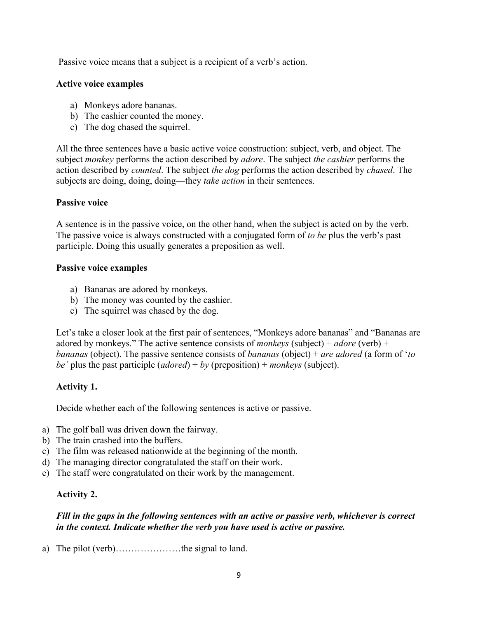Passive voice means that a subject is a recipient of a verb's action.

### **Active voice examples**

- a) Monkeys adore bananas.
- b) The cashier counted the money.
- c) The dog chased the squirrel.

All the three sentences have a basic active voice construction: subject, verb, and object. The subject *monkey* performs the action described by *adore*. The subject *the cashier* performs the action described by *counted*. The subject *the dog* performs the action described by *chased*. The subjects are doing, doing, doing—they *take action* in their sentences.

### **Passive voice**

A sentence is in the [passive voice,](https://www.grammarly.com/blog/passive-voice/) on the other hand, when the subject is acted on by the verb. The passive voice is always constructed with a conjugated form of *to be* plus the verb's past participle. Doing this usually generates a preposition as well.

#### **Passive voice examples**

- a) Bananas are adored by monkeys.
- b) The money was counted by the cashier.
- c) The squirrel was chased by the dog.

Let's take a closer look at the first pair of sentences, "Monkeys adore bananas" and "Bananas are adored by monkeys." The active sentence consists of *monkeys* (subject) + *adore* (verb) + *bananas* (object). The passive sentence consists of *bananas* (object) + *are adored* (a form of '*to be'* plus the past participle (*adored*) + *by* (preposition) + *monkeys* (subject).

### **Activity 1.**

Decide whether each of the following sentences is active or passive.

- a) The golf ball was driven down the fairway.
- b) The train crashed into the buffers.
- c) The film was released nationwide at the beginning of the month.
- d) The managing director congratulated the staff on their work.
- e) The staff were congratulated on their work by the management.

### **Activity 2.**

### *Fill in the gaps in the following sentences with an active or passive verb, whichever is correct in the context. Indicate whether the verb you have used is active or passive.*

a) The pilot (verb)…………………the signal to land.